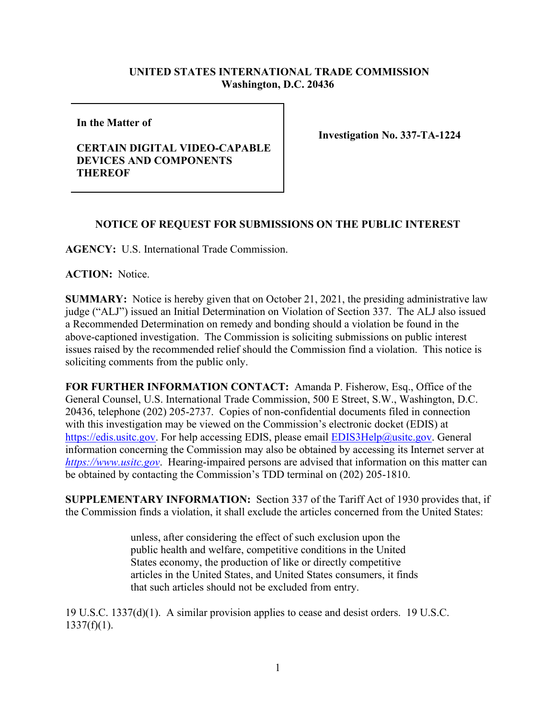## **UNITED STATES INTERNATIONAL TRADE COMMISSION Washington, D.C. 20436**

**In the Matter of** 

## **CERTAIN DIGITAL VIDEO-CAPABLE DEVICES AND COMPONENTS THEREOF**

**Investigation No. 337-TA-1224**

## **NOTICE OF REQUEST FOR SUBMISSIONS ON THE PUBLIC INTEREST**

**AGENCY:** U.S. International Trade Commission.

**ACTION:** Notice.

**SUMMARY:** Notice is hereby given that on October 21, 2021, the presiding administrative law judge ("ALJ") issued an Initial Determination on Violation of Section 337. The ALJ also issued a Recommended Determination on remedy and bonding should a violation be found in the above-captioned investigation. The Commission is soliciting submissions on public interest issues raised by the recommended relief should the Commission find a violation. This notice is soliciting comments from the public only.

**FOR FURTHER INFORMATION CONTACT:** Amanda P. Fisherow, Esq., Office of the General Counsel, U.S. International Trade Commission, 500 E Street, S.W., Washington, D.C. 20436, telephone (202) 205-2737. Copies of non-confidential documents filed in connection with this investigation may be viewed on the Commission's electronic docket (EDIS) at [https://edis.usitc.gov.](https://edis.usitc.gov/) For help accessing EDIS, please email **EDIS3Help@usitc.gov**. General information concerning the Commission may also be obtained by accessing its Internet server at *[https://www.usitc.gov](https://www.usitc.gov/)*. Hearing-impaired persons are advised that information on this matter can be obtained by contacting the Commission's TDD terminal on (202) 205-1810.

**SUPPLEMENTARY INFORMATION:** Section 337 of the Tariff Act of 1930 provides that, if the Commission finds a violation, it shall exclude the articles concerned from the United States:

> unless, after considering the effect of such exclusion upon the public health and welfare, competitive conditions in the United States economy, the production of like or directly competitive articles in the United States, and United States consumers, it finds that such articles should not be excluded from entry.

19 U.S.C. 1337(d)(1). A similar provision applies to cease and desist orders. 19 U.S.C.  $1337(f)(1)$ .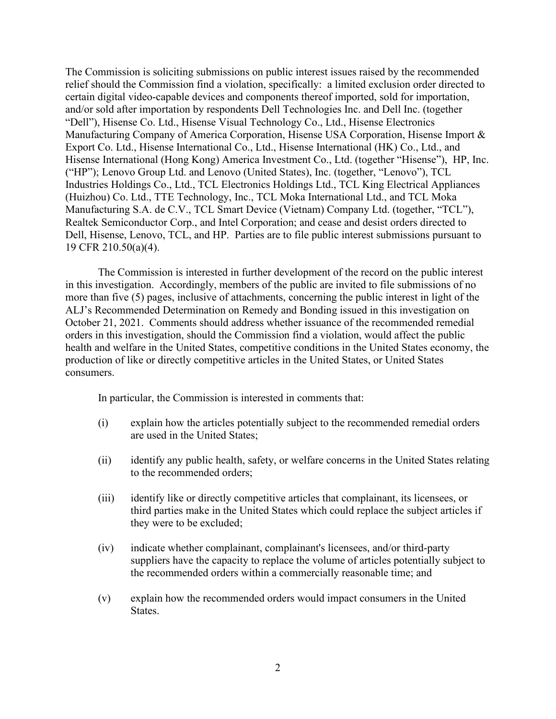The Commission is soliciting submissions on public interest issues raised by the recommended relief should the Commission find a violation, specifically: a limited exclusion order directed to certain digital video-capable devices and components thereof imported, sold for importation, and/or sold after importation by respondents Dell Technologies Inc. and Dell Inc. (together "Dell"), Hisense Co. Ltd., Hisense Visual Technology Co., Ltd., Hisense Electronics Manufacturing Company of America Corporation, Hisense USA Corporation, Hisense Import & Export Co. Ltd., Hisense International Co., Ltd., Hisense International (HK) Co., Ltd., and Hisense International (Hong Kong) America Investment Co., Ltd. (together "Hisense"), HP, Inc. ("HP"); Lenovo Group Ltd. and Lenovo (United States), Inc. (together, "Lenovo"), TCL Industries Holdings Co., Ltd., TCL Electronics Holdings Ltd., TCL King Electrical Appliances (Huizhou) Co. Ltd., TTE Technology, Inc., TCL Moka International Ltd., and TCL Moka Manufacturing S.A. de C.V., TCL Smart Device (Vietnam) Company Ltd. (together, "TCL"), Realtek Semiconductor Corp., and Intel Corporation; and cease and desist orders directed to Dell, Hisense, Lenovo, TCL, and HP. Parties are to file public interest submissions pursuant to 19 CFR 210.50(a)(4).

The Commission is interested in further development of the record on the public interest in this investigation. Accordingly, members of the public are invited to file submissions of no more than five (5) pages, inclusive of attachments, concerning the public interest in light of the ALJ's Recommended Determination on Remedy and Bonding issued in this investigation on October 21, 2021.Comments should address whether issuance of the recommended remedial orders in this investigation, should the Commission find a violation, would affect the public health and welfare in the United States, competitive conditions in the United States economy, the production of like or directly competitive articles in the United States, or United States consumers.

In particular, the Commission is interested in comments that:

- (i) explain how the articles potentially subject to the recommended remedial orders are used in the United States;
- (ii) identify any public health, safety, or welfare concerns in the United States relating to the recommended orders;
- (iii) identify like or directly competitive articles that complainant, its licensees, or third parties make in the United States which could replace the subject articles if they were to be excluded;
- (iv) indicate whether complainant, complainant's licensees, and/or third-party suppliers have the capacity to replace the volume of articles potentially subject to the recommended orders within a commercially reasonable time; and
- (v) explain how the recommended orders would impact consumers in the United States.